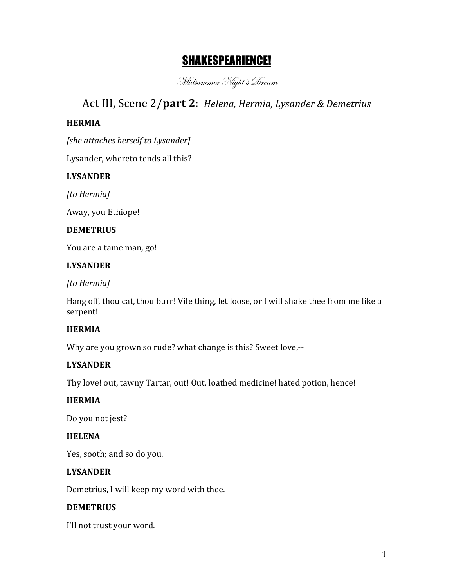# SHAKESPEARIENCE!

Midsummer Night's Dream

# Act III, Scene 2/part 2: *Helena, Hermia, Lysander & Demetrius*

### **HERMIA**

*[she attaches herself to Lysander]* 

Lysander, whereto tends all this?

### **LYSANDER**

*[to Hermia]*

Away, you Ethiope!

#### **DEMETRIUS**

You are a tame man, go!

#### **LYSANDER**

*[to Hermia]*

Hang off, thou cat, thou burr! Vile thing, let loose, or I will shake thee from me like a serpent!

### **HERMIA**

Why are you grown so rude? what change is this? Sweet love,--

### **LYSANDER**

Thy love! out, tawny Tartar, out! Out, loathed medicine! hated potion, hence!

### **HERMIA**

Do you not jest?

### **HELENA**

Yes, sooth; and so do you.

### **LYSANDER**

Demetrius, I will keep my word with thee.

#### **DEMETRIUS**

I'll not trust your word.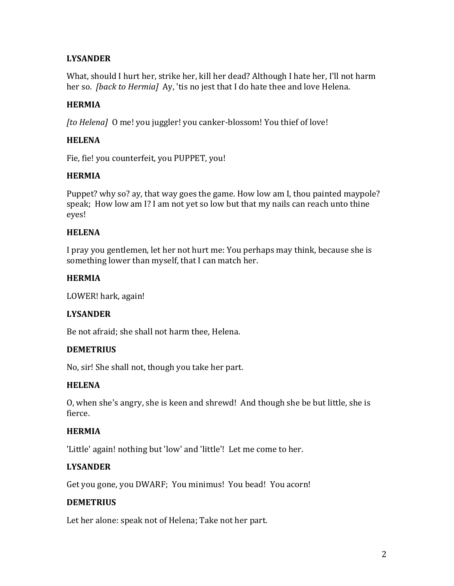## **LYSANDER**

What, should I hurt her, strike her, kill her dead? Although I hate her, I'll not harm her so. *[back to Hermia]* Ay, 'tis no jest that I do hate thee and love Helena.

### **HERMIA**

*[to Helena]* O me! you juggler! you canker-blossom! You thief of love!

## **HELENA**

Fie, fie! you counterfeit, you PUPPET, you!

### **HERMIA**

Puppet? why so? ay, that way goes the game. How low am I, thou painted maypole? speak; How low am I? I am not yet so low but that my nails can reach unto thine eyes!

#### **HELENA**

I pray you gentlemen, let her not hurt me: You perhaps may think, because she is something lower than myself, that I can match her.

#### **HERMIA**

LOWER! hark, again!

#### **LYSANDER**

Be not afraid; she shall not harm thee, Helena.

#### **DEMETRIUS**

No, sir! She shall not, though you take her part.

#### **HELENA**

O, when she's angry, she is keen and shrewd! And though she be but little, she is fierce.

### **HERMIA**

'Little' again! nothing but 'low' and 'little'! Let me come to her.

### **LYSANDER**

Get you gone, you DWARF; You minimus! You bead! You acorn!

### **DEMETRIUS**

Let her alone: speak not of Helena; Take not her part.